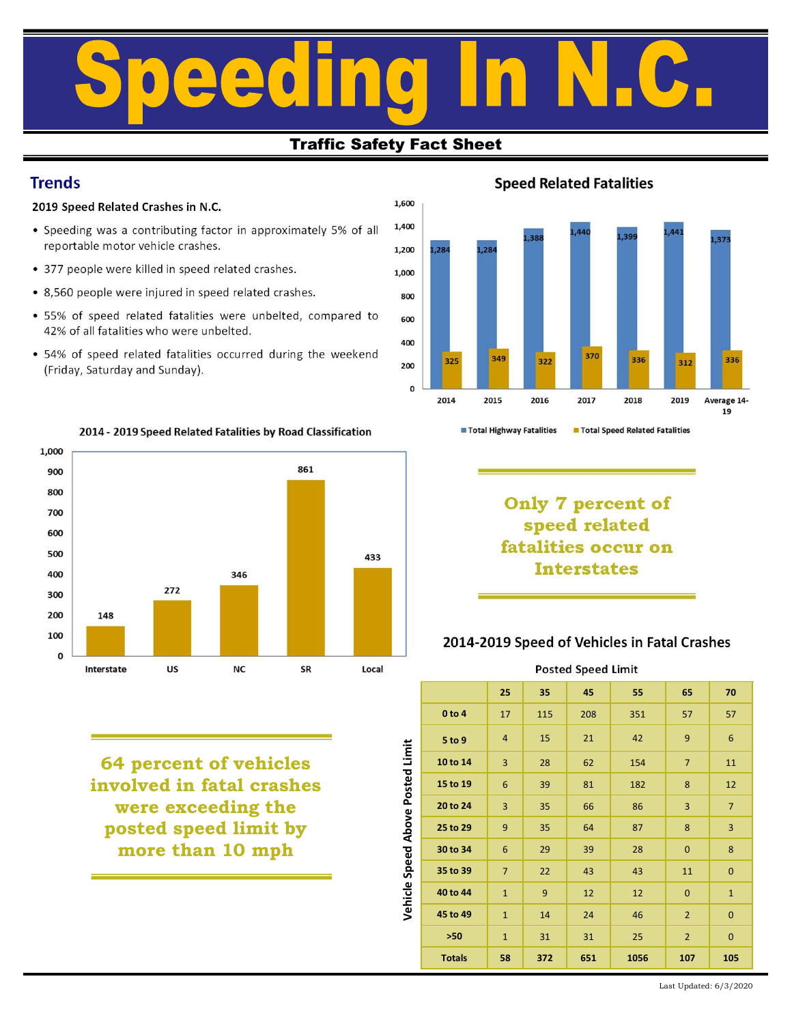# Traffic Safety Fact Sheet<br>
Traffic Safety Fact Sheet<br>
2019 Speed Related Crashes in N.C.<br>
Comparison of Related Crashes in N.C.<br>
Preportable motor vehicle crashes.<br>
2019 Speed Related Fatal<br>
Preportable motor vehicle crash Frends<br>
Fraffic Safety Fact Sheet<br>
Fraffic Safety Fact Sheet<br>
Speed Related Fatalities<br>
Freportable motor which crashes,<br>  $\cdot$  Speed Related Fatalities<br>  $\cdot$  Speed Related Crashes in N.C.<br>  $\cdot$  Speed Related Fatalities<br>  $\$ Traffic Safety Fact Sheet<br>
Traffic Safety Fact Sheet<br>
Speed Related Crashes in N.C.<br>
Speed Related Crashes in N.C.<br>
Speed Related Crashes.<br>
Speed Related Crashes.<br>
377 people were injured in speed related crashes.<br>
377 peo Traffic Safety Fact Sheet<br>
Traffic Safety Fact Sheet<br>
Speed Related Crashes in N.C.<br>
Speed Related Crashes in N.C.<br>
Speed Related Fatalities<br>
reportable motor vehicle crashes.<br>
377 people were killed in speed related crash

# Traffic Safety Fact Sheet

## **Trends**

- 
- 
- 
- 
- 



64 percent of vehicles<br>
nvolved in fatal crashes<br>
were exceeding the<br>
posted speed limit by<br>
more than 10 mph<br>
the state of the state of the state of the state of the state of the state of the state of the state of the st involved in fatal crashes and  $\frac{9}{5}$   $\frac{15 \text{ to } 19}{15 \text{ to } 19}$ were exceeding the  $\frac{6}{9}$   $\frac{20 \text{ to } 24}{9}$ posted speed limit by  $\frac{5}{9}$  25 to 29 more than 10 mph  $\vec{v}$   $30 \text{ to } 34$  6 29





Interstates

## 2014-2019 Speed of Vehicles in Fatal Crashes

2016 2017 2018 2019 Average 14-<br>
2016 2017 2018 2019 Average 14-<br>
2019 Average 14-<br>
2011 19<br>
2011 2021 2021 2021<br>
29 Speed of Vehicles in Fatal Crashes<br>
25 35 45 55 65 70<br>
27 115 208 351 57 57<br>
28 62 154 7 11<br>
28 8 28 62 1 0 to 4 17 115 208 351 57 57 Five Mathematics Transfer and Speed Related Fatalities<br> **Speed related**<br> **Speed related**<br> **Speed related**<br> **Speed related**<br> **Speed related**<br> **Speed of Vehicles in Fatal Crashes**<br>
Posted Speed Limit<br>
25 35 45 55 65 70<br>
0 to 10 to 14 3 28 62 154 7 11 15 to 19 6 39 81 182 8 12 20 to 24 3 35 66 86 3 7 125 to 29 9 35 64 87 8 35 8 36 9 4 3 35 6 8 3 7 8 4 3 35 6 8 8 3 7 8 4 3 35 6 8 8 3 7 8 4 3 35 6 8 8 3 7 8 4 3 35 6 8 8 3 7 8 4 4 3 35 6 8 8 3 7 9 4 4 3 35 6 8 8 3 7 9 4 4 3 35 6 8 8 3 7 9 4 3 35 6 8 8 3 7 9 4 3 4 4 4 4 5 speed related<br> **30 14 -2019 Speed of Vehicles in Fatal Crashes**<br>
Posted Speed Limit<br>
25 35 45 55 65 70<br>
0 to 4 17 115 208 351 57 57<br>
5 to 9 4 15 21 42 9 6<br>
10 to 14 3 28 62 154 7 11<br>
15 to 19 6 39 81 182 8 12<br>
20 to 24 3 3 35 to 39 7 22 43 43 11 0 1 **Interstates**<br>
2014-2019 Speed of Vehicles in Fatal Crashes<br>
Posted Speed Limit<br>
25 35 45 55 65 70<br>
0 to 4 17 115 208 351 57 57<br>
5 to 9 4 15 21 42 9 6<br>
10 to 14 3 28 62 154 7 11<br>
15 to 19 6 39 81 182 8 12<br>
20 to 24 3 35 2014-2019 Speed of Vehicles in Fatal Crashes<br>
Posted Speed Limit<br>
25 35 45 55 65 70<br>
0 to 4 17 115 208 351 57 57<br>
5 to 9 4 15 21 42 9 6<br>
10 to 14 3 28 62 154 7 11<br>
15 to 19 6 39 81 182 8 12<br>
20 to 24 3 35 66 86 3 7<br>
25 to 2014-2019 Speed of Vehicles in Fatal Crashes<br>
Posted Speed Limit<br>
25 35 45 55 65 70<br>
10 10 14 17 115 208 351 57 57<br>
10 9 4 15 21 42 9 6<br>
10 14 3 28 62 154 7 11<br>
10 10 14 3 35 66 86 3 7<br>
10 24 3 35 66 86 3 7<br>
10 29 9 35 64 2014-2019 Speed of Vehicles in Fatal Crashes<br>
Posted Speed Limit<br>
25 35 45 55 65 70<br>
0to 4 17 115 208 351 57 57<br>
5 to 9 4 15 21 42 9 6<br>
0to 14 3 28 62 154 7 11<br>
5 to 19 6 39 81 182 8 12<br>
0to 24 3 35 66 86 3 7<br>
5 to 29 9 35 Posted Speed Limit  $\frac{28}{100}$ <br>  $\frac{1}{200}$ <br>  $\frac{1}{200}$ <br>  $\frac{1}{200}$ <br>  $\frac{1}{200}$ <br>  $\frac{1}{200}$ <br>  $\frac{1}{200}$ <br>  $\frac{1}{200}$ <br>  $\frac{1}{200}$ <br>  $\frac{1}{200}$ <br>  $\frac{1}{200}$ <br>  $\frac{1}{200}$ <br>  $\frac{1}{200}$ <br>  $\frac{1}{200}$ <br>  $\frac{1}{200}$ <br>  $\frac{1}{200}$ <br>  $\frac{1}{200}$ <br>

Last Updated: 6/3/2020